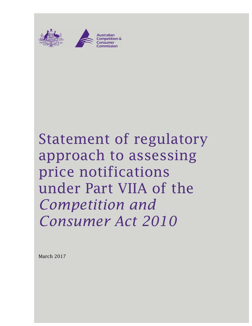



# Statement of regulatory approach to assessing price notifications under Part VIIA of the *Competition and Consumer Act 2010*

March 2017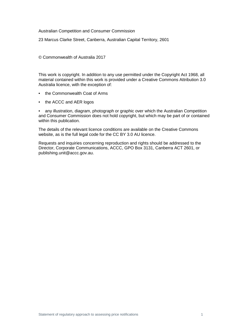#### Australian Competition and Consumer Commission

23 Marcus Clarke Street, Canberra, Australian Capital Territory, 2601

© Commonwealth of Australia 2017

This work is copyright. In addition to any use permitted under the Copyright Act 1968, all material contained within this work is provided under a Creative Commons Attribution 3.0 Australia licence, with the exception of:

- the Commonwealth Coat of Arms
- the ACCC and AER logos

• any illustration, diagram, photograph or graphic over which the Australian Competition and Consumer Commission does not hold copyright, but which may be part of or contained within this publication.

The details of the relevant licence conditions are available on the Creative Commons website, as is the full legal code for the CC BY 3.0 AU licence.

Requests and inquiries concerning reproduction and rights should be addressed to the Director, Corporate Communications, ACCC, GPO Box 3131, Canberra ACT 2601, or publishing.unit@accc.gov.au.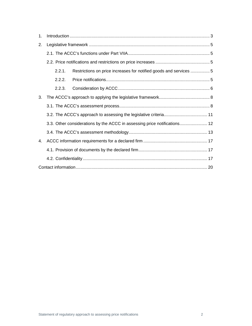| 1. | Introduction 1, 3                                                            |  |
|----|------------------------------------------------------------------------------|--|
| 2. |                                                                              |  |
|    |                                                                              |  |
|    |                                                                              |  |
|    | 2.2.1.<br>Restrictions on price increases for notified goods and services  5 |  |
|    | 2.2.2                                                                        |  |
|    | 2.2.3.                                                                       |  |
| 3. |                                                                              |  |
|    |                                                                              |  |
|    |                                                                              |  |
|    | 3.3. Other considerations by the ACCC in assessing price notifications 12    |  |
|    |                                                                              |  |
| 4. |                                                                              |  |
|    |                                                                              |  |
|    |                                                                              |  |
|    |                                                                              |  |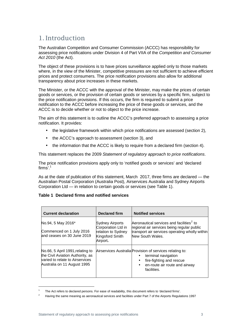# 1. Introduction

The Australian Competition and Consumer Commission (ACCC) has responsibility for assessing price notifications under Division 4 of Part VIIA of the Competition and Consumer Act 2010 (the Act).

The object of these provisions is to have prices surveillance applied only to those markets where, in the view of the Minister, competitive pressures are not sufficient to achieve efficient prices and protect consumers. The price notification provisions also allow for additional transparency about price increases in these markets.

The Minister, or the ACCC with the approval of the Minister, may make the prices of certain goods or services, or the provision of certain goods or services by a specific firm, subject to the price notification provisions. If this occurs, the firm is required to submit a price notification to the ACCC before increasing the price of these goods or services, and the ACCC is to decide whether or not to object to the price increase.

The aim of this statement is to outline the ACCC's preferred approach to assessing a price notification. It provides:

- the legislative framework within which price notifications are assessed (section 2),
- the ACCC's approach to assessment (section 3), and
- the information that the ACCC is likely to require from a declared firm (section 4).

This statement replaces the 2009 Statement of regulatory approach to price notifications.

The price notification provisions apply only to 'notified goods or services' and 'declared firms'. $1$ 

As at the date of publication of this statement, March 2017, three firms are declared — the Australian Postal Corporation (Australia Post), Airservices Australia and Sydney Airports Corporation Ltd — in relation to certain goods or services (see Table 1).

#### **Table 1 Declared firms and notified services**

| <b>Current declaration</b>                                                                                                             | Declared firm                                                                                     | <b>Notified services</b>                                                                                                                                                              |
|----------------------------------------------------------------------------------------------------------------------------------------|---------------------------------------------------------------------------------------------------|---------------------------------------------------------------------------------------------------------------------------------------------------------------------------------------|
| No.94, 5 May 2016*<br>Commenced on 1 July 2016<br>and ceases on 30 June 2019                                                           | <b>Sydney Airports</b><br>Corporation Ltd in<br>relation to Sydney<br>Kingsford Smith<br>Airport. | Aeronautical services and facilities <sup>2</sup> to<br>regional air services being regular public<br>transport air services operating wholly within<br>New South Wales.              |
| No.66, 5 April 1991, relating to<br>the Civil Aviation Authority, as<br>varied to relate to Airservices<br>Australia on 11 August 1995 |                                                                                                   | Airservices Australia Provision of services relating to:<br>terminal navigation<br>fire-fighting and rescue<br>$\bullet$<br>en-route air route and airway<br>$\bullet$<br>facilities. |

<sup>1</sup> The Act refers to declared persons. For ease of readability, this document refers to 'declared firms'.

<sup>2</sup> Having the same meaning as aeronautical services and facilities under Part 7 of the Airports Regulations 1997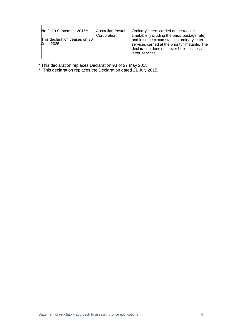\* This declaration replaces Declaration 93 of 27 May 2013.

\*\* This declaration replaces the Declaration dated 21 July 2015.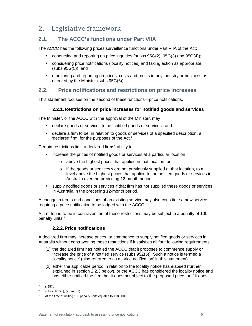# 2. Legislative framework

# **2.1. The ACCC's functions under Part VIIA**

The ACCC has the following prices surveillance functions under Part VIIA of the Act:

- conducting and reporting on price inquiries (subss.95G(2), 95G(3) and 95G(4));
- considering price notifications (locality notices) and taking action as appropriate (subs.95G(5)); and
- monitoring and reporting on prices, costs and profits in any industry or business as directed by the Minister (subs.95G(6)).

## **2.2. Price notifications and restrictions on price increases**

This statement focuses on the second of these functions—price notifications.

#### **2.2.1. Restrictions on price increases for notified goods and services**

The Minister, or the ACCC with the approval of the Minister, may

- declare goods or services to be 'notified goods or services'; and
- declare a firm to be, in relation to goods or services of a specified description, a 'declared firm' for the purposes of the Act. $3$

Certain restrictions limit a declared firms<sup>4</sup> ability to:

- increase the prices of notified goods or services at a particular location
	- o above the highest prices that applied in that location, or
	- $\circ$  if the goods or services were not previously supplied at that location, to a level above the highest prices that applied to the notified goods or services in Australia over the preceding 12-month period
- supply notified goods or services if that firm has not supplied these goods or services in Australia in the preceding 12-month period.

A change in terms and conditions of an existing service may also constitute a new service requiring a price notification to be lodged with the ACCC.

A firm found to be in contravention of these restrictions may be subject to a penalty of 100 penalty units.<sup>5</sup>

#### **2.2.2. Price notifications**

A declared firm may increase prices, or commence to supply notified goods or services in Australia without contravening these restrictions if it satisfies all four following requirements:

- (1) the declared firm has notified the ACCC that it proposes to commence supply or increase the price of a notified service (subs.95Z(5)). Such a notice is termed a 'locality notice' (also referred to as a 'price notification' in this statement).
- (2) either the applicable period in relation to the locality notice has elapsed (further explained in section 2.2.3 below), or the ACCC has considered the locality notice and has either notified the firm that it does not object to the proposed price, or if it does

<sup>3</sup> s 95X.

<sup>4</sup> subss. 95Z(1), (2) and (3).

<sup>5</sup> At the time of writing 100 penalty units equates to \$18,000.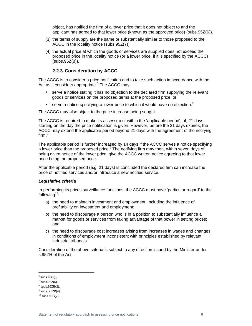object, has notified the firm of a lower price that it does not object to and the applicant has agreed to that lower price (known as the approved price) (subs.95Z(6)).

- (3) the terms of supply are the same or substantially similar to those proposed to the ACCC in the locality notice (subs.95Z(7)).
- (4) the actual price at which the goods or services are supplied does not exceed the proposed price in the locality notice (or a lower price, if it is specified by the ACCC) (subs.95Z(8)).

#### **2.2.3. Consideration by ACCC**

The ACCC is to consider a price notification and to take such action in accordance with the Act as it considers appropriate.<sup>6</sup> The ACCC may:

- serve a notice stating it has no objection to the declared firm supplying the relevant goods or services on the proposed terms at the proposed price; or
- serve a notice specifying a lower price to which it would have no objection.<sup>7</sup>

The ACCC may also object to the price increase being sought.

The ACCC is required to make its assessment within the 'applicable period', of, 21 days, starting on the day the price notification is given. However, before the 21 days expires, the ACCC may extend the applicable period beyond 21 days with the agreement of the notifying firm.<sup>8</sup>

The applicable period is further increased by 14 days if the ACCC serves a notice specifying a lower price than the proposed price.<sup>9</sup> The notifying firm may then, within seven days of being given notice of the lower price, give the ACCC written notice agreeing to that lower price being the proposed price.

After the applicable period (e.g. 21 days) is concluded the declared firm can increase the price of notified services and/or introduce a new notified service.

#### **Legislative criteria**

In performing its prices surveillance functions, the ACCC must have 'particular regard' to the following<sup>10</sup>:

- a) the need to maintain investment and employment, including the influence of profitability on investment and employment;
- b) the need to discourage a person who is in a position to substantially influence a market for goods or services from taking advantage of that power in setting prices; and
- c) the need to discourage cost increases arising from increases in wages and changes in conditions of employment inconsistent with principles established by relevant industrial tribunals.

Consideration of the above criteria is subject to any direction issued by the Minister under s.95ZH of the Act.

 $6$  subs.95G(5).

 $^7$  subs.95Z(6).

 $8$  subs.95ZB(2).

 $<sup>9</sup>$  subs. 95ZB(4).</sup>

 $10$  subs.95G(7).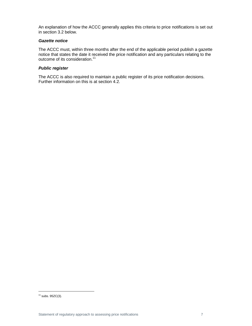An explanation of how the ACCC generally applies this criteria to price notifications is set out in section 3.2 below.

#### **Gazette notice**

The ACCC must, within three months after the end of the applicable period publish a gazette notice that states the date it received the price notification and any particulars relating to the outcome of its consideration.<sup>11</sup>

#### **Public register**

The ACCC is also required to maintain a public register of its price notification decisions. Further information on this is at section 4.2.

 $11$  subs. 95ZC(3).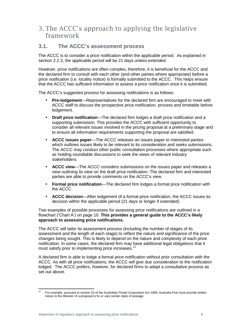# 3. The ACCC's approach to applying the legislative framework

## **3.1. The ACCC's assessment process**

The ACCC is to consider a price notification within the applicable period. As explained in section 2.2.3, the applicable period will be 21 days unless extended.

However, price notifications are often complex, therefore, it is beneficial for the ACCC and the declared firm to consult with each other (and other parties where appropriate) before a price notification (i.e. locality notice) is formally submitted to the ACCC. This helps ensure that the ACCC has sufficient information to assess a price notification once it is submitted.

The ACCC's suggested process for assessing notifications is as follows:

- **Pre-lodgement**—Representatives for the declared firm are encouraged to meet with ACCC staff to discuss the prospective price notification, process and timetable before lodgement.
- **Draft price notification**—The declared firm lodges a draft price notification and a supporting submission. This provides the ACCC with sufficient opportunity to consider all relevant issues involved in the pricing proposal at a preliminary stage and to ensure all information requirements supporting the proposal are satisfied.
- **ACCC issues paper**—The ACCC releases an issues paper to interested parties which outlines issues likely to be relevant to its consideration and seeks submissions. The ACCC may conduct other public consultation processes where appropriate such as holding roundtable discussions to seek the views of relevant industry stakeholders.
- **ACCC view**—The ACCC considers submissions on the issues paper and releases a view outlining its view on the draft price notification. The declared firm and interested parties are able to provide comments on the ACCC's view.
- **Formal price notification**—The declared firm lodges a formal price notification with the ACCC.
- **ACCC decision**—After lodgement of a formal price notification, the ACCC issues its decision within the applicable period (21 days or longer if extended).

Two examples of possible processes for assessing price notifications are outlined in a flowchart ('Chart A') on page 10. **This provides a general guide to the ACCC's likely approach to assessing price notifications.**

The ACCC will tailor its assessment process (including the number of stages of its assessment and the length of each stage) to reflect the nature and significance of the price changes being sought. This is likely to depend on the nature and complexity of each price notification. In some cases, the declared firm may have additional legal obligations that it must satisfy prior to implementing price increases.<sup>12</sup>

A declared firm is able to lodge a formal price notification without prior consultation with the ACCC. As with all price notifications, the ACCC will give due consideration to the notification lodged. The ACCC prefers, however, for declared firms to adopt a consultative process as set out above.

 $12$ For example, pursuant to section 33 of the Australian Postal Corporation Act 1989, Australia Post must provide written notice to the Minister of a proposal to fix or vary certain rates of postage.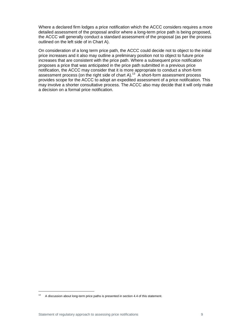Where a declared firm lodges a price notification which the ACCC considers requires a more detailed assessment of the proposal and/or where a long-term price path is being proposed, the ACCC will generally conduct a standard assessment of the proposal (as per the process outlined on the left side of in Chart A).

On consideration of a long term price path, the ACCC could decide not to object to the initial price increases and it also may outline a preliminary position not to object to future price increases that are consistent with the price path. Where a subsequent price notification proposes a price that was anticipated in the price path submitted in a previous price notification, the ACCC may consider that it is more appropriate to conduct a short-form assessment process (on the right side of chart A).<sup>13</sup> A short-form assessment process provides scope for the ACCC to adopt an expedited assessment of a price notification. This may involve a shorter consultative process. The ACCC also may decide that it will only make a decision on a formal price notification.

<sup>&</sup>lt;sup>13</sup> A discussion about long-term price paths is presented in section 4.4 of this statement.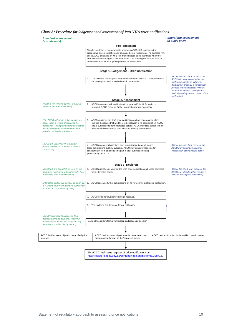#### *Chart A: Procedure for lodgement and assessment of Part VIIA price notifications*

#### **Standard assessment**

|--|



**Short form assessment**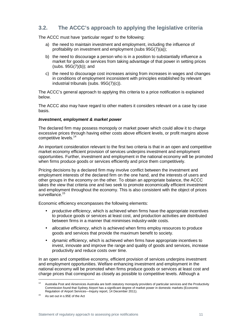# **3.2. The ACCC's approach to applying the legislative criteria**

The ACCC must have 'particular regard' to the following:

- a) the need to maintain investment and employment, including the influence of profitability on investment and employment (subs 95G(7)(a));
- b) the need to discourage a person who is in a position to substantially influence a market for goods or services from taking advantage of that power in setting prices  $(subs. 95G(7)(b))$ ; and
- c) the need to discourage cost increases arising from increases in wages and changes in conditions of employment inconsistent with principles established by relevant industrial tribunals (subs. 95G(7)(c)).

The ACCC's general approach to applying this criteria to a price notification is explained below.

The ACCC also may have regard to other matters it considers relevant on a case by case basis.

#### **Investment, employment & market power**

The declared firm may possess monopoly or market power which could allow it to charge excessive prices through having either costs above efficient levels, or profit margins above competitive levels.<sup>14</sup>

An important consideration relevant to the first two criteria is that in an open and competitive market economy efficient provision of services underpins investment and employment opportunities. Further, investment and employment in the national economy will be promoted when firms produce goods or services efficiently and price them competitively.

Pricing decisions by a declared firm may involve conflict between the investment and employment interests of the declared firm on the one hand, and the interests of users and other groups in the economy on the other. To obtain an appropriate balance, the ACCC takes the view that criteria one and two seek to promote economically efficient investment and employment throughout the economy. This is also consistent with the object of prices surveillance.<sup>15</sup>

Economic efficiency encompasses the following elements:

- productive efficiency, which is achieved when firms have the appropriate incentives to produce goods or services at least cost, and production activities are distributed between firms in a manner that minimises industry-wide costs.
- allocative efficiency, which is achieved when firms employ resources to produce goods and services that provide the maximum benefit to society.
- dynamic efficiency, which is achieved when firms have appropriate incentives to invest, innovate and improve the range and quality of goods and services, increase productivity and reduce costs over time.

In an open and competitive economy, efficient provision of services underpins investment and employment opportunities. Welfare enhancing investment and employment in the national economy will be promoted when firms produce goods or services at least cost and charge prices that correspond as closely as possible to competitive levels. Although a

<sup>&</sup>lt;sup>14</sup> Australia Post and Airservices Australia are both statutory monopoly providers of particular services and the Productivity Commission found that Sydney Airport has a significant degree of market power in domestic markets (Economic Regulation of Airport Services—Inquiry report, 14 December 2011).

<sup>&</sup>lt;sup>15</sup> As set out in s.95E of the Act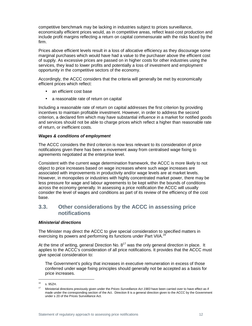competitive benchmark may be lacking in industries subject to prices surveillance, economically efficient prices would, as in competitive areas, reflect least-cost production and include profit margins reflecting a return on capital commensurate with the risks faced by the firm.

Prices above efficient levels result in a loss of allocative efficiency as they discourage some marginal purchases which would have had a value to the purchaser above the efficient cost of supply. As excessive prices are passed on in higher costs for other industries using the services, they lead to lower profits and potentially a loss of investment and employment opportunity in the competitive sectors of the economy.

Accordingly, the ACCC considers that the criteria will generally be met by economically efficient prices which reflect:

- an efficient cost base
- a reasonable rate of return on capital

Including a reasonable rate of return on capital addresses the first criterion by providing incentives to maintain profitable investment. However, in order to address the second criterion, a declared firm which may have substantial influence in a market for notified goods and services should not be able to charge prices which reflect a higher than reasonable rate of return, or inefficient costs.

#### **Wages & conditions of employment**

The ACCC considers the third criterion is now less relevant to its consideration of price notifications given there has been a movement away from centralised wage fixing to agreements negotiated at the enterprise level.

Consistent with the current wage determination framework, the ACCC is more likely to not object to price increases based on wage increases where such wage increases are associated with improvements in productivity and/or wage levels are at market levels. However, in monopolies or industries with highly concentrated market power, there may be less pressure for wage and labour agreements to be kept within the bounds of conditions across the economy generally. In assessing a price notification the ACCC will usually consider the level of wages and conditions as part of its review of the efficiency of the cost base.

## **3.3. Other considerations by the ACCC in assessing price notifications**

#### **Ministerial directions**

The Minister may direct the ACCC to give special consideration to specified matters in exercising its powers and performing its functions under Part VIIA.<sup>16</sup>

At the time of writing, general Direction No.  $8^{17}$  was the only general direction in place. It applies to the ACCC's consideration of all price notifications. It provides that the ACCC must give special consideration to:

The Government's policy that increases in executive remuneration in excess of those conferred under wage fixing principles should generally not be accepted as a basis for price increases.

<sup>16</sup> s. 95ZH.

Ministerial directions previously given under the Prices Surveillance Act 1983 have been carried over to have effect as if made under the corresponding section of the Act. Direction 8 is a general direction given to the ACCC by the Government under s 20 of the Prices Surveillance Act.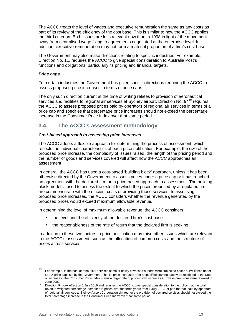The ACCC treats the level of wages and executive remuneration the same as any costs as part of its review of the efficiency of the cost base. This is similar to how the ACCC applies the third criterion. Both issues are less relevant now than in 1998 in light of the movement away from centralised wage fixing to agreements negotiated at the enterprise level. In addition, executive remuneration may not form a material proportion of a firm's cost base.

The Government may also make directions relating to specific industries. For example, Direction No. 11, requires the ACCC to give special consideration to Australia Post's functions and obligations, particularly its pricing and financial targets.

#### **Price caps**

For certain industries the Government has given specific directions requiring the ACCC to assess proposed price increases in terms of price caps.<sup>18</sup>

The only such direction current at the time of writing relates to provision of aeronautical services and facilities to regional air services at Sydney airport. Direction No. 94<sup>19</sup> requires the ACCC to assess proposed prices paid by operators of regional air services in terms of a price cap and specifies that percentage price increases should not exceed the percentage increase in the Consumer Price Index over that same period.

## **3.4. The ACCC's assessment methodology**

#### **Cost-based approach to assessing price increases**

The ACCC adopts a flexible approach for determining the process of assessment, which reflects the individual characteristics of each price notification. For example, the size of the proposed price increase, the complexity of issues raised, the length of the pricing period and the number of goods and services covered will affect how the ACCC approaches an assessment.

In general, the ACCC has used a cost-based 'building block' approach, unless it has been otherwise directed by the Government to assess prices under a price cap or it has reached an agreement with the declared firm on a price-based approach to assessment. The building block model is used to assess the extent to which the prices proposed by a regulated firm are commensurate with the efficient costs of providing those services. In assessing proposed price increases, the ACCC considers whether the revenue generated by the proposed prices would exceed maximum allowable revenue.

In determining the level of maximum allowable revenue, the ACCC considers:

- the level and the efficiency of the declared firm's cost base
- the reasonableness of the rate of return that the declared firm is seeking.

In addition to these two factors, a price notification may raise other issues which are relevant to the ACCC's assessment, such as the allocation of common costs and the structure of prices across services.

<sup>18</sup> For example, in the past aeronautical services at major newly privatised airports were subject to prices surveillance under CPI-X price caps set by the Government. That is, price increases after a specified starting date were restricted to the rate of increase in the Consumer Price Index minus a target rate of productivity increase (X). These provisions were revoked in June 2002.

<sup>&</sup>lt;sup>19</sup> Direction 94 took effect on 1 July 2016 and requires the ACCC to give special consideration to the policy that the total revenue-weighted percentage increases in prices over the three years from 1 July 2016, or part thereof, paid by operators of regional air services to Sydney Airport Corporation Limited for the provision of declared services should not exceed the total percentage increase in the Consumer Price Index over that same period.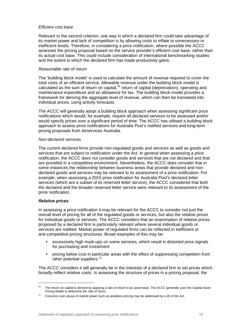#### Efficient cost base

Relevant to the second criterion, one way in which a declared firm could take advantage of its market power and lack of competition is by allowing costs to inflate to unnecessary or inefficient levels. Therefore, in considering a price notification, where possible the ACCC assesses the pricing proposal based on the service provider's efficient cost base, rather than its actual cost base. This could include consideration of international benchmarking studies and the extent to which the declared firm has made productivity gains.

#### Reasonable rate of return

The 'building block model' is used to calculate the amount of revenue required to cover the total costs of an efficient service. Allowable revenue under the building block model is calculated as the sum of return on capital, $20$  return of capital (depreciation), operating and maintenance expenditure and an allowance for tax. The building block model provides a framework for deriving the aggregate level of revenue, which can then be translated into individual prices, using activity forecasts.

The ACCC will generally adopt a building block approach when assessing significant price notifications which would, for example, require all declared services to be assessed and/or would specify prices over a significant period of time. The ACCC has utilised a building block approach to assess price notifications for Australia Post's notified services and long-term pricing proposals from Airservices Australia.

#### Non-declared services

The current declared firms provide non-regulated goods and services as well as goods and services that are subject to notification under the Act. In general when assessing a price notification, the ACCC does not consider goods and services that are not declared and that are provided in a competitive environment. Nevertheless, the ACCC does consider that in some instances the relationship between business areas that provide declared and nondeclared goods and services may be relevant to its assessment of a price notification. For example, when assessing a 2015 price notification for Australia Post's declared letter services (which are a subset of its reserved letter service), the ACCC considered that both the declared and the broader reserved letter service were relevant to its assessment of the price notification.

#### **Relative prices**

1

In assessing a price notification it may be relevant for the ACCC to consider not just the overall level of pricing for all of the regulated goods or services, but also the relative prices for individual goods or services. The ACCC considers that an examination of relative prices proposed by a declared firm is particularly relevant where several individual goods or services are notified. Market power of regulated firms can be reflected in inefficient or anti-competitive pricing structures. Broad examples of this may be:

- excessively high mark-ups on some services, which result in distorted price signals for purchasing and investment
- pricing below cost in particular areas with the effect of suppressing competition from other potential suppliers.<sup>21</sup>

The ACCC considers it will generally be in the interests of a declared firm to set prices which broadly reflect relative costs. In assessing the structure of prices in a pricing proposal, the

<sup>&</sup>lt;sup>20</sup> The return on capital is derived by applying a rate of return to an asset base. The ACCC generally uses the Capital Asset Pricing Model to determine the rate of return.

<sup>&</sup>lt;sup>21</sup> Concerns over abuse of market power such as predatory pricing may be addressed by s.46 of the Act.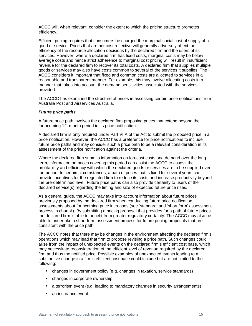ACCC will, when relevant, consider the extent to which the pricing structure promotes efficiency.

Efficient pricing requires that consumers be charged the marginal social cost of supply of a good or service. Prices that are not cost reflective will generally adversely affect the efficiency of the resource allocation decisions by the declared firm and the users of its services. However, where a declared firm has fixed costs, marginal costs may be below average costs and hence strict adherence to marginal cost pricing will result in insufficient revenue for the declared firm to recover its total costs. A declared firm that supplies multiple goods or services may also have costs common to several of the services it supplies. The ACCC considers it important that fixed and common costs are allocated to services in a reasonable and transparent manner. For example, this may involve allocating costs in a manner that takes into account the demand sensitivities associated with the services provided.

The ACCC has examined the structure of prices in assessing certain price notifications from Australia Post and Airservices Australia.

#### **Future price paths**

A future price path involves the declared firm proposing prices that extend beyond the forthcoming 12–month period in its price notification.

A declared firm is only required under Part VIIA of the Act to submit the proposed price in a price notification. However, the ACCC has a preference for price notifications to include future price paths and may consider such a price path to be a relevant consideration in its assessment of the price notification against the criteria.

Where the declared firm submits information on forecast costs and demand over the long term, information on prices covering this period can assist the ACCC to assess the profitability and efficiency with which the declared goods or services are to be supplied over the period. In certain circumstances, a path of prices that is fixed for several years can provide incentives for the regulated firm to reduce its costs and increase productivity beyond the pre-determined level. Future price paths can also provide certainty to users of the declared service(s) regarding the timing and size of expected future price rises.

As a general guide, the ACCC may take into account information about future prices previously proposed by the declared firm when conducting future price notification assessments about forthcoming price increases (see 'standard' and 'short form' assessment process in chart A). By submitting a pricing proposal that provides for a path of future prices the declared firm is able to benefit from greater regulatory certainty. The ACCC may also be able to undertake a short-form assessment process for future pricing proposals that are consistent with the price path.

The ACCC notes that there may be changes in the environment affecting the declared firm's operations which may lead that firm to propose revising a price path. Such changes could arise from the impact of unexpected events on the declared firm's efficient cost base, which may necessitate reconsideration of the efficient level of revenue required by the declared firm and thus the notified price. Possible examples of unexpected events leading to a substantive change in a firm's efficient cost base could include but are not limited to the following:

- changes in government policy (e.g. changes in taxation, service standards)
- changes in corporate ownership
- a terrorism event (e.g. leading to mandatory changes in security arrangements)
- an insurance event.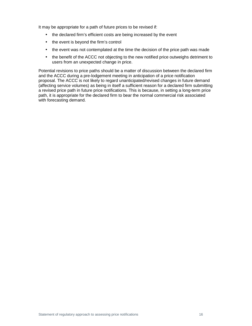It may be appropriate for a path of future prices to be revised if:

- the declared firm's efficient costs are being increased by the event
- the event is beyond the firm's control
- the event was not contemplated at the time the decision of the price path was made
- the benefit of the ACCC not objecting to the new notified price outweighs detriment to users from an unexpected change in price.

Potential revisions to price paths should be a matter of discussion between the declared firm and the ACCC during a pre-lodgement meeting in anticipation of a price notification proposal. The ACCC is not likely to regard unanticipated/revised changes in future demand (affecting service volumes) as being in itself a sufficient reason for a declared firm submitting a revised price path in future price notifications. This is because, in setting a long-term price path, it is appropriate for the declared firm to bear the normal commercial risk associated with forecasting demand.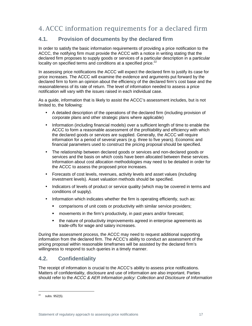# 4. ACCC information requirements for a declared firm

## **4.1. Provision of documents by the declared firm**

In order to satisfy the basic information requirements of providing a price notification to the ACCC, the notifying firm must provide the ACCC with a notice in writing stating that the declared firm proposes to supply goods or services of a particular description in a particular locality on specified terms and conditions at a specified price.<sup>22</sup>

In assessing price notifications the ACCC will expect the declared firm to justify its case for price increases. The ACCC will examine the evidence and arguments put forward by the declared firm to form an opinion about the efficiency of the declared firm's cost base and the reasonableness of its rate of return. The level of information needed to assess a price notification will vary with the issues raised in each individual case.

As a guide, information that is likely to assist the ACCC's assessment includes, but is not limited to, the following:

- A detailed description of the operations of the declared firm (including provision of corporate plans and other strategic plans where applicable)
- Information (including financial models) over a sufficient length of time to enable the ACCC to form a reasonable assessment of the profitability and efficiency with which the declared goods or services are supplied. Generally, the ACCC will require information for a period of several years (e.g. three to five years). Economic and financial parameters used to construct the pricing proposal should be specified.
- The relationship between declared goods or services and non-declared goods or services and the basis on which costs have been allocated between these services. Information about cost allocation methodologies may need to be detailed in order for the ACCC to assess the proposed price increases.
- Forecasts of cost levels, revenues, activity levels and asset values (including investment levels). Asset valuation methods should be specified.
- Indicators of levels of product or service quality (which may be covered in terms and conditions of supply).
- Information which indicates whether the firm is operating efficiently, such as:
	- comparisons of unit costs or productivity with similar service providers;
	- **EXEDENT** movements in the firm's productivity, in past years and/or forecast;
	- the nature of productivity improvements agreed in enterprise agreements as trade-offs for wage and salary increases.

During the assessment process, the ACCC may need to request additional supporting information from the declared firm. The ACCC's ability to conduct an assessment of the pricing proposal within reasonable timeframes will be assisted by the declared firm's willingness to respond to such queries in a timely manner.

## **4.2. Confidentiality**

The receipt of information is crucial to the ACCC's ability to assess price notifications. Matters of confidentiality, disclosure and use of information are also important. Parties should refer to the ACCC & AER Information policy: Collection and Disclosure of Information

 $22$  subs. 95Z(5).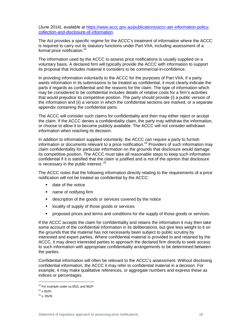(June 2014), available at https://www.accc.gov.au/publications/accc-aer-information-policycollection-and-disclosure-of-information.

The Act provides a specific regime for the ACCC's treatment of information where the ACCC is required to carry out its statutory functions under Part VIIA, including assessment of a formal price notification.<sup>23</sup>

The information used by the ACCC to assess price notifications is usually supplied on a voluntary basis. A declared firm will typically provide the ACCC with information to support its proposal that includes material it considers to be commercial-in-confidence.

In providing information voluntarily to the ACCC for the purposes of Part VIIA, if a party wants information in its submissions to be treated as confidential, it must clearly indicate the parts it regards as confidential and the reasons for the claim. The type of information which may be considered to be confidential includes details of relative costs for a firm's activities that would prejudice its competitive position. The party should provide (i) a public version of the information and (ii) a version in which the confidential sections are marked, or a separate appendix containing the confidential parts.

The ACCC will consider such claims for confidentiality and then may either reject or accept the claim. If the ACCC denies a confidentiality claim, the party may withdraw the information, or choose to allow it to become publicly available. The ACCC will not consider withdrawn information when reaching its decision.

In addition to information supplied voluntarily, the ACCC can require a party to furnish information or documents relevant to a price notification.<sup>24</sup> Providers of such information may claim confidentiality for particular information on the grounds that disclosure would damage its competitive position. The ACCC must take all reasonable steps to keep such information confidential if it is satisfied that the claim is justified and is not of the opinion that disclosure is necessary in the public interest.  $25$ 

The ACCC notes that the following information directly relating to the requirements of a price notification will not be treated as confidential by the ACCC:

- date of the notice
- name of notifying firm
- description of the goods or services covered by the notice
- **If** locality of supply of those goods or services
- proposed prices and terms and conditions for the supply of those goods or services.

If the ACCC accepts the claim for confidentiality and retains the information it may then take some account of the confidential information in its deliberations, but give less weight to it on the grounds that the material has not necessarily been subject to public scrutiny by interested and expert parties. Where confidential material is provided to and retained by the ACCC, it may direct interested parties to approach the declared firm directly to seek access to such information with appropriate confidentiality arrangements to be determined between the parties.

Confidential information will often be relevant to the ACCC's assessment. Without disclosing confidential information, the ACCC it may refer to confidential material in a decision. For example, it may make qualitative references, or aggregate numbers and express these as indices or percentages.

<sup>&</sup>lt;sup>23</sup> For example under ss.95ZL and 95ZP

 $24$  s 95ZK.

 $^{25}$  s. 95ZN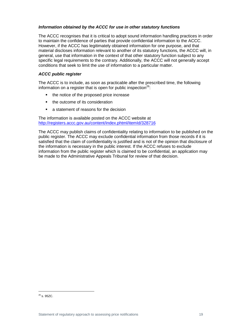#### **Information obtained by the ACCC for use in other statutory functions**

The ACCC recognises that it is critical to adopt sound information handling practices in order to maintain the confidence of parties that provide confidential information to the ACCC. However, if the ACCC has legitimately obtained information for one purpose, and that material discloses information relevant to another of its statutory functions, the ACCC will, in general, use that information in the context of that other statutory function subject to any specific legal requirements to the contrary. Additionally, the ACCC will not generally accept conditions that seek to limit the use of information to a particular matter.

#### **ACCC public register**

The ACCC is to include, as soon as practicable after the prescribed time, the following information on a register that is open for public inspection<sup>26</sup>:

- the notice of the proposed price increase
- the outcome of its consideration
- **a** statement of reasons for the decision

The information is available posted on the ACCC website at http://registers.accc.gov.au/content/index.phtml/itemId/328716

The ACCC may publish claims of confidentiality relating to information to be published on the public register. The ACCC may exclude confidential information from those records if it is satisfied that the claim of confidentiality is justified and is not of the opinion that disclosure of the information is necessary in the public interest. If the ACCC refuses to exclude information from the public register which is claimed to be confidential, an application may be made to the Administrative Appeals Tribunal for review of that decision.

 $^{26}$  s. 95ZC.